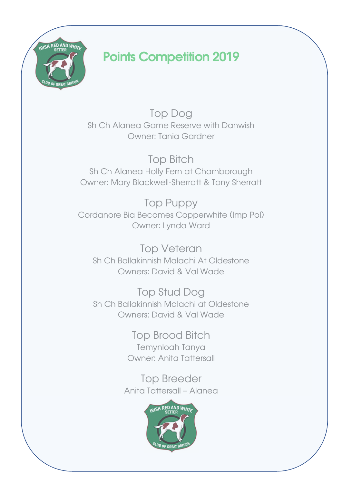

## Points Competition 2019

Top Dog Sh Ch Alanea Game Reserve with Danwish Owner: Tania Gardner

Top Bitch Sh Ch Alanea Holly Fern at Charnborough Owner: Mary Blackwell-Sherratt & Tony Sherratt

Top Puppy Cordanore Bia Becomes Copperwhite (Imp Pol) Owner: Lynda Ward

Top Veteran Sh Ch Ballakinnish Malachi At Oldestone Owners: David & Val Wade

Top Stud Dog Sh Ch Ballakinnish Malachi at Oldestone Owners: David & Val Wade

> Top Brood Bitch Temynloah Tanya Owner: Anita Tattersall

Top Breeder Anita Tattersall – Alanea

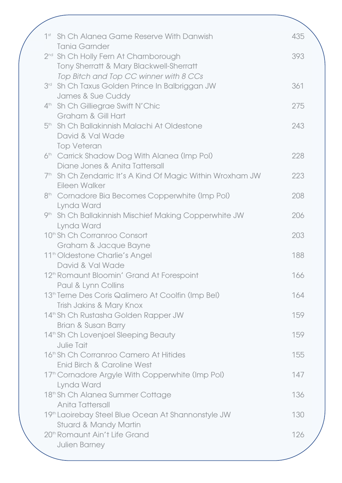| 1 <sup>st</sup> | Sh Ch Alanea Game Reserve With Danwish                                 | 435 |
|-----------------|------------------------------------------------------------------------|-----|
|                 | <b>Tania Garnder</b>                                                   |     |
|                 | 2 <sup>nd</sup> Sh Ch Holly Fern At Charnborough                       | 393 |
|                 | Tony Sherratt & Mary Blackwell-Sherratt                                |     |
|                 | Top Bitch and Top CC winner with 8 CCs                                 |     |
|                 | 3rd Sh Ch Taxus Golden Prince In Balbriggan JW                         | 361 |
|                 | James & Sue Cuddy                                                      |     |
|                 | 4 <sup>th</sup> Sh Ch Gilliegrae Swift N'Chic                          | 275 |
|                 | Graham & Gill Hart                                                     |     |
|                 | 5 <sup>th</sup> Sh Ch Ballakinnish Malachi At Oldestone                | 243 |
|                 | David & Val Wade                                                       |     |
|                 | <b>Top Veteran</b>                                                     |     |
|                 | 6 <sup>th</sup> Carrick Shadow Dog With Alanea (Imp Pol)               | 228 |
|                 | Diane Jones & Anita Tattersall                                         |     |
|                 | 7 <sup>th</sup> Sh Ch Zendarric It's A Kind Of Magic Within Wroxham JW | 223 |
|                 | Eileen Walker                                                          |     |
|                 | 8 <sup>th</sup> Cornadore Bia Becomes Copperwhite (Imp Pol)            | 208 |
|                 | Lynda Ward                                                             |     |
|                 | 9 <sup>th</sup> Sh Ch Ballakinnish Mischief Making Copperwhite JW      | 206 |
|                 | Lynda Ward                                                             |     |
|                 | 10 <sup>th</sup> Sh Ch Corranroo Consort                               | 203 |
|                 | Graham & Jacque Bayne                                                  |     |
|                 | 11 <sup>th</sup> Oldestone Charlie's Angel                             | 188 |
|                 | David & Val Wade                                                       |     |
|                 | 12 <sup>th</sup> Romaunt Bloomin' Grand At Forespoint                  | 166 |
|                 | Paul & Lynn Collins                                                    |     |
|                 | 13 <sup>th</sup> Terne Des Coris Qalimero At Coolfin (Imp Bel)         | 164 |
|                 | <b>Trish Jakins &amp; Mary Knox</b>                                    |     |
|                 | 14 <sup>th</sup> Sh Ch Rustasha Golden Rapper JW                       | 159 |
|                 | Brian & Susan Barry                                                    |     |
|                 | 14 <sup>th</sup> Sh Ch Lovenjoel Sleeping Beauty                       | 159 |
|                 | <b>Julie Tait</b>                                                      |     |
|                 | 16 <sup>th</sup> Sh Ch Corranroo Camero At Hitides                     | 155 |
|                 | Enid Birch & Caroline West                                             |     |
|                 | 17 <sup>th</sup> Cornadore Argyle With Copperwhite (Imp Pol)           | 147 |
|                 | Lynda Ward                                                             |     |
|                 | 18 <sup>th</sup> Sh Ch Alanea Summer Cottage                           | 136 |
|                 | Anita Tattersall                                                       |     |
|                 | 19th Laoirebay Steel Blue Ocean At Shannonstyle JW                     | 130 |
|                 | <b>Stuard &amp; Mandy Martin</b>                                       |     |
|                 | 20 <sup>th</sup> Romaunt Ain't Life Grand                              | 126 |
|                 | <b>Julien Barney</b>                                                   |     |
|                 |                                                                        |     |